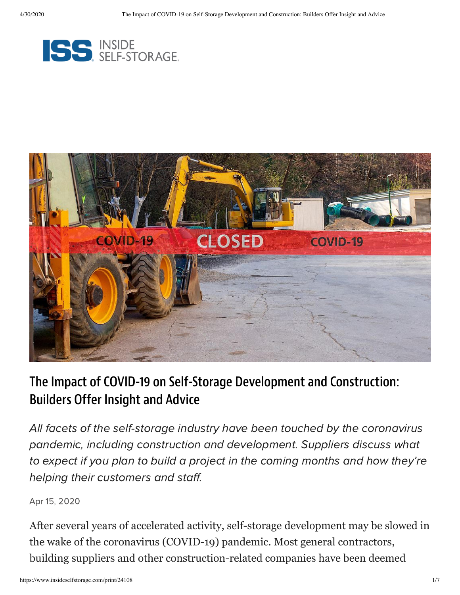



## The Impact of COVID-19 on Self-Storage Development and Construction: Builders Offer Insight and Advice

All facets of the self-storage industry have been touched by the coronavirus pandemic, including construction and development. Suppliers discuss what to expect if you plan to build a project in the coming months and how they're helping their customers and staff.

Apr 15, 2020

After several years of accelerated activity, self-storage development may be slowed in the wake of the coronavirus (COVID-19) pandemic. Most general contractors, building suppliers and other construction-related companies have been deemed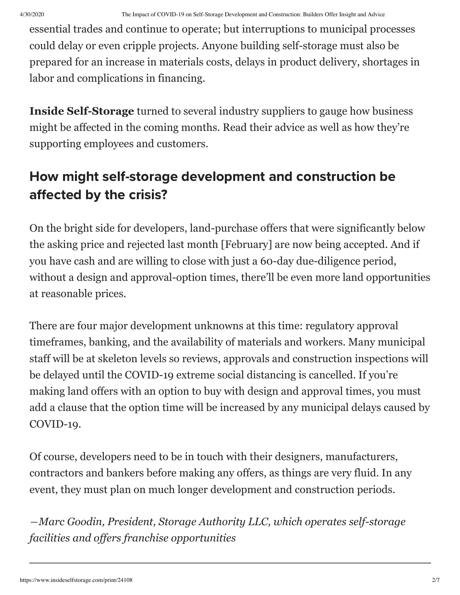essential trades and continue to operate; but interruptions to municipal processes could delay or even cripple projects. Anyone building self-storage must also be prepared for an increase in materials costs, delays in product delivery, shortages in labor and complications in financing.

**Inside Self-Storage** turned to several industry suppliers to gauge how business might be affected in the coming months. Read their advice as well as how they're supporting employees and customers.

## How might self-storage development and construction be affected by the crisis?

On the bright side for developers, land-purchase offers that were significantly below the asking price and rejected last month [February] are now being accepted. And if you have cash and are willing to close with just a 60-day due-diligence period, without a design and approval-option times, there'll be even more land opportunities at reasonable prices.

There are four major development unknowns at this time: regulatory approval timeframes, banking, and the availability of materials and workers. Many municipal staff will be at skeleton levels so reviews, approvals and construction inspections will be delayed until the COVID-19 extreme social distancing is cancelled. If you're making land offers with an option to buy with design and approval times, you must add a clause that the option time will be increased by any municipal delays caused by COVID-19.

Of course, developers need to be in touch with their designers, manufacturers, contractors and bankers before making any offers, as things are very fluid. In any event, they must plan on much longer development and construction periods.

*―Marc Goodin, President, Storage Authority LLC, which operates self-storage facilities and offers franchise opportunities*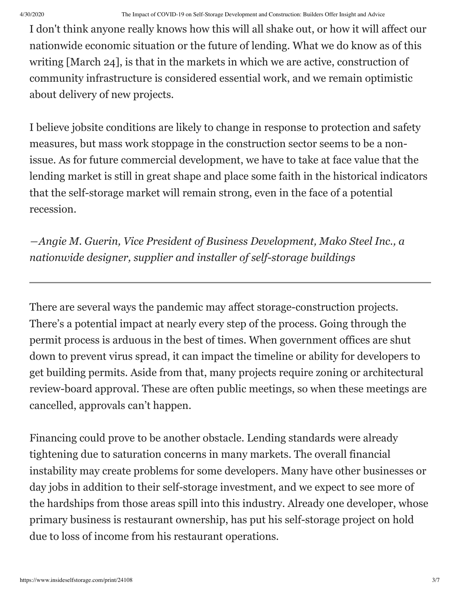I don't think anyone really knows how this will all shake out, or how it will affect our nationwide economic situation or the future of lending. What we do know as of this writing [March 24], is that in the markets in which we are active, construction of community infrastructure is considered essential work, and we remain optimistic about delivery of new projects.

I believe jobsite conditions are likely to change in response to protection and safety measures, but mass work stoppage in the construction sector seems to be a nonissue. As for future commercial development, we have to take at face value that the lending market is still in great shape and place some faith in the historical indicators that the self-storage market will remain strong, even in the face of a potential recession.

*―Angie M. Guerin, Vice President of Business Development, Mako Steel Inc., a nationwide designer, supplier and installer of self-storage buildings*

There are several ways the pandemic may affect storage-construction projects. There's a potential impact at nearly every step of the process. Going through the permit process is arduous in the best of times. When government offices are shut down to prevent virus spread, it can impact the timeline or ability for developers to get building permits. Aside from that, many projects require zoning or architectural review-board approval. These are often public meetings, so when these meetings are cancelled, approvals can't happen.

Financing could prove to be another obstacle. Lending standards were already tightening due to saturation concerns in many markets. The overall financial instability may create problems for some developers. Many have other businesses or day jobs in addition to their self-storage investment, and we expect to see more of the hardships from those areas spill into this industry. Already one developer, whose primary business is restaurant ownership, has put his self-storage project on hold due to loss of income from his restaurant operations.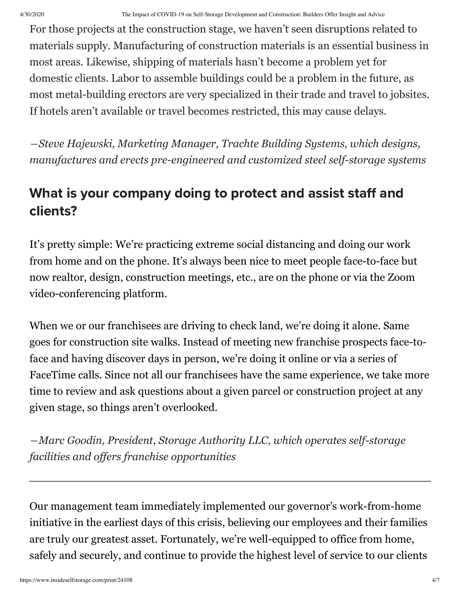For those projects at the construction stage, we haven't seen disruptions related to materials supply. Manufacturing of construction materials is an essential business in most areas. Likewise, shipping of materials hasn't become a problem yet for domestic clients. Labor to assemble buildings could be a problem in the future, as most metal-building erectors are very specialized in their trade and travel to jobsites. If hotels aren't available or travel becomes restricted, this may cause delays.

*―Steve Hajewski, Marketing Manager, Trachte Building Systems, which designs, manufactures and erects pre-engineered and customized steel self-storage systems*

## What is your company doing to protect and assist staff and clients?

It's pretty simple: We're practicing extreme social distancing and doing our work from home and on the phone. It's always been nice to meet people face-to-face but now realtor, design, construction meetings, etc., are on the phone or via the Zoom video-conferencing platform.

When we or our franchisees are driving to check land, we're doing it alone. Same goes for construction site walks. Instead of meeting new franchise prospects face-toface and having discover days in person, we're doing it online or via a series of FaceTime calls. Since not all our franchisees have the same experience, we take more time to review and ask questions about a given parcel or construction project at any given stage, so things aren't overlooked.

*―Marc Goodin, President, Storage Authority LLC, which operates self-storage facilities and offers franchise opportunities*

Our management team immediately implemented our governor's work-from-home initiative in the earliest days of this crisis, believing our employees and their families are truly our greatest asset. Fortunately, we're well-equipped to office from home, safely and securely, and continue to provide the highest level of service to our clients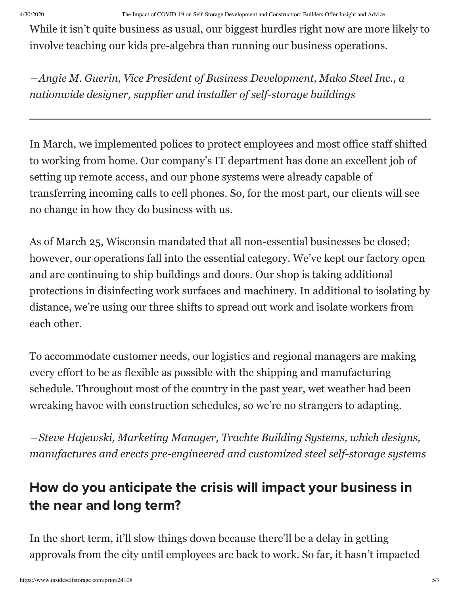While it isn't quite business as usual, our biggest hurdles right now are more likely to involve teaching our kids pre-algebra than running our business operations.

*―Angie M. Guerin, Vice President of Business Development, Mako Steel Inc., a nationwide designer, supplier and installer of self-storage buildings*

In March, we implemented polices to protect employees and most office staff shifted to working from home. Our company's IT department has done an excellent job of setting up remote access, and our phone systems were already capable of transferring incoming calls to cell phones. So, for the most part, our clients will see no change in how they do business with us.

As of March 25, Wisconsin mandated that all non-essential businesses be closed; however, our operations fall into the essential category. We've kept our factory open and are continuing to ship buildings and doors. Our shop is taking additional protections in disinfecting work surfaces and machinery. In additional to isolating by distance, we're using our three shifts to spread out work and isolate workers from each other.

To accommodate customer needs, our logistics and regional managers are making every effort to be as flexible as possible with the shipping and manufacturing schedule. Throughout most of the country in the past year, wet weather had been wreaking havoc with construction schedules, so we're no strangers to adapting.

*―Steve Hajewski, Marketing Manager, Trachte Building Systems, which designs, manufactures and erects pre-engineered and customized steel self-storage systems*

## How do you anticipate the crisis will impact your business in the near and long term?

In the short term, it'll slow things down because there'll be a delay in getting approvals from the city until employees are back to work. So far, it hasn't impacted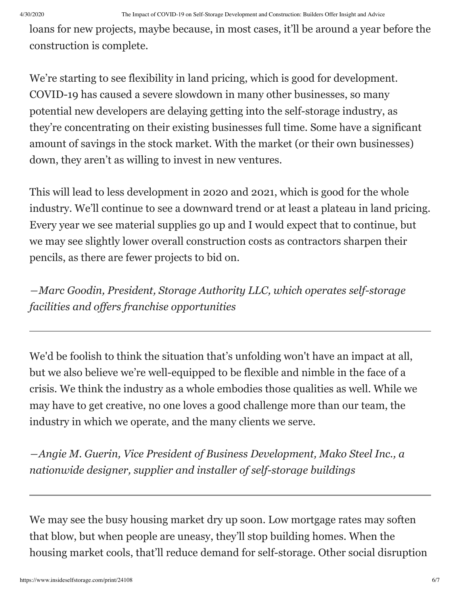loans for new projects, maybe because, in most cases, it'll be around a year before the construction is complete.

We're starting to see flexibility in land pricing, which is good for development. COVID-19 has caused a severe slowdown in many other businesses, so many potential new developers are delaying getting into the self-storage industry, as they're concentrating on their existing businesses full time. Some have a significant amount of savings in the stock market. With the market (or their own businesses) down, they aren't as willing to invest in new ventures.

This will lead to less development in 2020 and 2021, which is good for the whole industry. We'll continue to see a downward trend or at least a plateau in land pricing. Every year we see material supplies go up and I would expect that to continue, but we may see slightly lower overall construction costs as contractors sharpen their pencils, as there are fewer projects to bid on.

*―Marc Goodin, President, Storage Authority LLC, which operates self-storage facilities and offers franchise opportunities*

We'd be foolish to think the situation that's unfolding won't have an impact at all, but we also believe we're well-equipped to be flexible and nimble in the face of a crisis. We think the industry as a whole embodies those qualities as well. While we may have to get creative, no one loves a good challenge more than our team, the industry in which we operate, and the many clients we serve.

*―Angie M. Guerin, Vice President of Business Development, Mako Steel Inc., a nationwide designer, supplier and installer of self-storage buildings*

We may see the busy housing market dry up soon. Low mortgage rates may soften that blow, but when people are uneasy, they'll stop building homes. When the housing market cools, that'll reduce demand for self-storage. Other social disruption